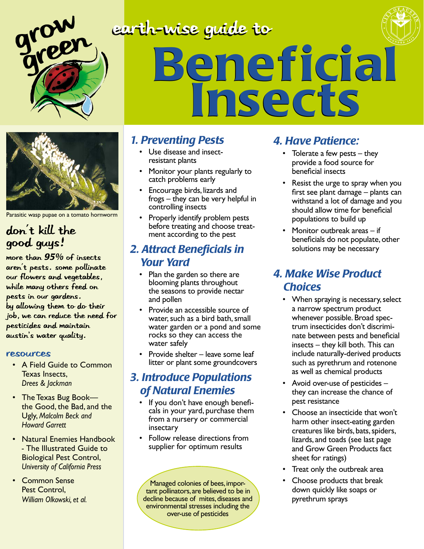

### earth-wise guide to Beneficial Beneficial Insects Insects



Parasitic wasp pupae on a tomato hornworm

#### don't kill the good guys!

More than *95%* of insects aren't pests. some pollinate our flowers and vegetables, while many others feed on pests in our gardens. by allowing them to do their job, we can reduce the need for pesticides and maintain austin's water quality.

#### resources

- A Field Guide to Common Texas Insects, *Drees & Jackman*
- The Texas Bug Bookthe Good, the Bad, and the Ugly, *Malcolm Beck and Howard Garrett*
- Natural Enemies Handbook *-* The Illustrated Guide to Biological Pest Control, *University of California Press*
- Common Sense Pest Control, *William Olkowski, et al.*

#### *1. Preventing Pests*

- Use disease and insectresistant plants
- Monitor your plants regularly to catch problems early
- Encourage birds, lizards and frogs – they can be very helpful in controlling insects
- Properly identify problem pests before treating and choose treat- ment according to the pest

#### *2. Attract Beneficials in Your Yard*

- Plan the garden so there are blooming plants throughout the seasons to provide nectar and pollen
- Provide an accessible source of water, such as a bird bath, small water garden or a pond and some rocks so they can access the water safely
- Provide shelter leave some leaf litter or plant some groundcovers

#### *3. Introduce Populations of Natural Enemies*

- If you don't have enough beneficals in your yard, purchase them from a nursery or commercial insectary
- Follow release directions from supplier for optimum results

Managed colonies of bees, impor- tant pollinators, are believed to be in decline because of mites, diseases and environmental stresses including the over-use of pesticides

#### *4. Have Patience:*

- Tolerate a few pests they provide a food source for beneficial insects
- Resist the urge to spray when you first see plant damage – plants can withstand a lot of damage and you should allow time for beneficial populations to build up
- Monitor outbreak areas if beneficials do not populate, other solutions may be necessary

#### *4. Make Wise Product Choices*

- When spraying is necessary, select a narrow spectrum product whenever possible. Broad spectrum insecticides don't discriminate between pests and beneficial insects – they kill both. This can include naturally-derived products such as pyrethrum and rotenone as well as chemical products
- Avoid over-use of pesticides they can increase the chance of pest resistance
- Choose an insecticide that won't harm other insect-eating garden creatures like birds, bats, spiders, lizards, and toads (see last page and Grow Green Products fact sheet for ratings)
- Treat only the outbreak area
- Choose products that break down quickly like soaps or pyrethrum sprays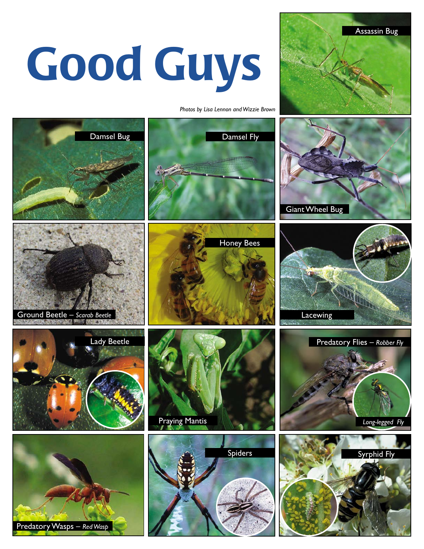# Good Guys

*Photos by Lisa Lennon and Wizzie Brown*

Assassin Bug

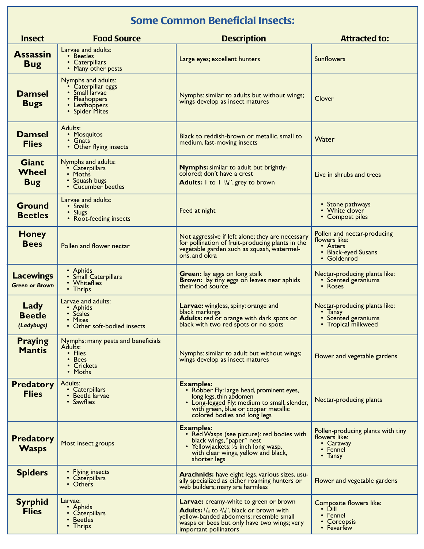#### Some Common Beneficial Insects:

| <b>Insect</b>                              | <b>Food Source</b><br><b>Description</b><br><b>Attracted to:</b>                                               |                                                                                                                                                                                                                  |                                                                                                |  |  |  |  |  |  |  |  |
|--------------------------------------------|----------------------------------------------------------------------------------------------------------------|------------------------------------------------------------------------------------------------------------------------------------------------------------------------------------------------------------------|------------------------------------------------------------------------------------------------|--|--|--|--|--|--|--|--|
| <b>Assassin</b><br><b>Bug</b>              | Larvae and adults:<br>• Beetles<br>• Caterpillars<br>• Many other pests                                        | Large eyes; excellent hunters                                                                                                                                                                                    | <b>Sunflowers</b>                                                                              |  |  |  |  |  |  |  |  |
| <b>Damsel</b><br><b>Bugs</b>               | Nymphs and adults:<br>• Caterpillar eggs<br>· Small larvae<br>• Fleahoppers<br>• Leafhoppers<br>• Spider Mites | Nymphs: similar to adults but without wings;<br>wings develop as insect matures                                                                                                                                  | Clover                                                                                         |  |  |  |  |  |  |  |  |
| <b>Damsel</b><br><b>Flies</b>              | Adults:<br>• Mosquitos<br>$\cdot$ Gnats<br>• Other flying insects                                              | Black to reddish-brown or metallic, small to<br>medium, fast-moving insects                                                                                                                                      | Water                                                                                          |  |  |  |  |  |  |  |  |
| <b>Giant</b><br><b>Wheel</b><br><b>Bug</b> | Nymphs and adults:<br>• Caterpillars<br>• Moths<br>• Squash bugs<br>• Cucumber beetles                         | <b>Nymphs:</b> similar to adult but brightly-<br>colored; don't have a crest<br><b>Adults:</b> $\vert$ to $\vert \vert^{1}/4$ ", grey to brown                                                                   | Live in shrubs and trees                                                                       |  |  |  |  |  |  |  |  |
| <b>Ground</b><br><b>Beetles</b>            | Larvae and adults:<br>• Snails<br>• Slugs<br>• Root-feeding insects                                            | Feed at night                                                                                                                                                                                                    | • Stone pathways<br>• White clover<br>• Compost piles                                          |  |  |  |  |  |  |  |  |
| <b>Honey</b><br><b>Bees</b>                | Pollen and flower nectar                                                                                       | Not aggressive if left alone; they are necessary<br>for pollination of fruit-producing plants in the<br>vegetable garden such as squash, watermel-<br>ons, and okra                                              | Pollen and nectar-producing<br>flowers like:<br>• Asters<br>• Black-eyed Susans<br>• Goldenrod |  |  |  |  |  |  |  |  |
| <b>Lacewings</b><br><b>Green or Brown</b>  | • Aphids<br>• Small Caterpillars<br>• Whiteflies<br>• Thrips                                                   | Green: lay eggs on long stalk<br>Brown: lay tiny eggs on leaves near aphids<br>their food source                                                                                                                 | Nectar-producing plants like:<br>• Scented geraniums<br>• Roses                                |  |  |  |  |  |  |  |  |
| Lady<br><b>Beetle</b><br>(Ladybugs)        | Larvae and adults:<br>• Aphids<br>· Scales<br>• Mites<br>• Other soft-bodied insects                           | Larvae: wingless, spiny: orange and<br>black markings<br>Adults: red or orange with dark spots or<br>black with two red spots or no spots                                                                        | Nectar-producing plants like:<br>$\cdot$ Tansy<br>• Scented geraniums<br>• Tropical milkweed   |  |  |  |  |  |  |  |  |
| <b>Praying</b><br><b>Mantis</b>            | Nymphs: many pests and beneficials<br>Adults:<br>• Flies<br>• Bees<br>• Crickets<br>• Moths                    | Nymphs: similar to adult but without wings;<br>wings develop as insect matures                                                                                                                                   | Flower and vegetable gardens                                                                   |  |  |  |  |  |  |  |  |
| <b>Predatory</b><br><b>Flies</b>           | Adults:<br>• Caterpillars<br>• Beetle larvae<br>• Sawflies                                                     | <b>Examples:</b><br>• Robber Fly: large head, prominent eyes,<br>long legs, thin abdomen<br>• Long-legged Fly: medium to small, slender,<br>with green, blue or copper metallic<br>colored bodies and long legs  | Nectar-producing plants                                                                        |  |  |  |  |  |  |  |  |
| <b>Predatory</b><br><b>Wasps</b>           | Most insect groups                                                                                             | <b>Examples:</b><br>• Red Wasps (see picture): red bodies with<br>black wings, "paper" nest<br>• Yellowjackets: 1/2 inch long wasp,<br>with clear wings, yellow and black,<br>shorter legs                       | Pollen-producing plants with tiny<br>flowers like:<br>• Caraway<br>• Fennel<br>• Tansy         |  |  |  |  |  |  |  |  |
| <b>Spiders</b>                             | • Flying insects<br>• Caterpillars<br>• Others                                                                 | Arachnids: have eight legs, various sizes, usu-<br>ally specialized as either roaming hunters or<br>web builders; many are harmless                                                                              | Flower and vegetable gardens                                                                   |  |  |  |  |  |  |  |  |
| <b>Syrphid</b><br><b>Flies</b>             | Larvae:<br>• Aphids<br>• Caterpillars<br>• Beetles<br>• Thrips                                                 | Larvae: creamy-white to green or brown<br><b>Adults:</b> $1/4$ to $3/4$ ", black or brown with<br>yellow-banded abdomens; resemble small<br>wasps or bees but only have two wings; very<br>important pollinators | Composite flowers like:<br>$\cdot$ Dill<br>• Fennel<br>• Coreopsis<br>• Feverfew               |  |  |  |  |  |  |  |  |